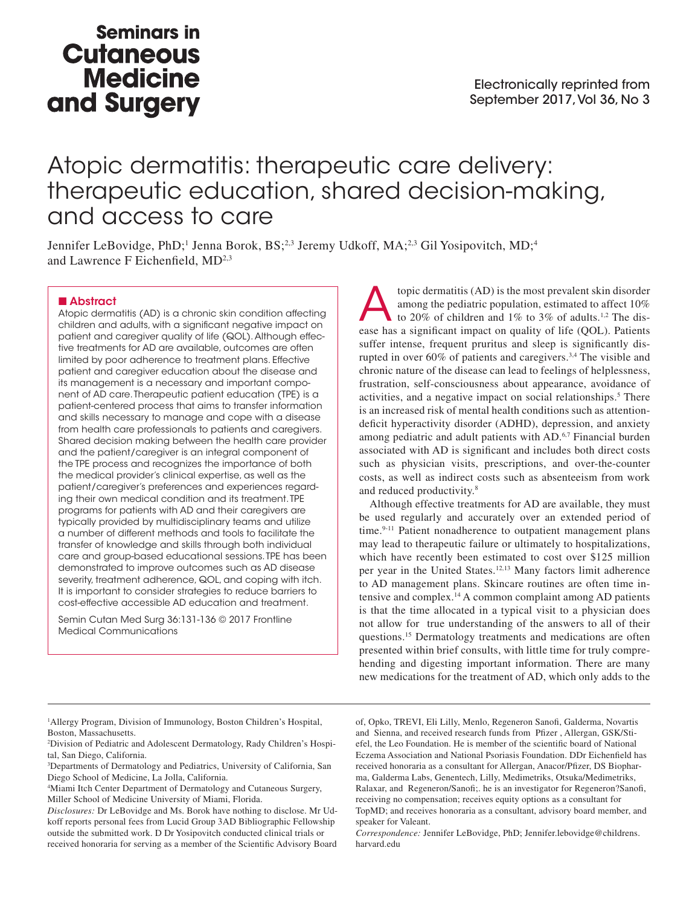## **Seminars in Cutaneous Medicine** and Surgery

# Atopic dermatitis: therapeutic care delivery: therapeutic education, shared decision-making, and access to care

Jennifer LeBovidge, PhD;<sup>1</sup> Jenna Borok, BS;<sup>2,3</sup> Jeremy Udkoff, MA;<sup>2,3</sup> Gil Yosipovitch, MD;<sup>4</sup> and Lawrence F Eichenfield, MD<sup>2,3</sup>

#### ■ Abstract

Atopic dermatitis (AD) is a chronic skin condition affecting children and adults, with a significant negative impact on patient and caregiver quality of life (QOL). Although effective treatments for AD are available, outcomes are often limited by poor adherence to treatment plans. Effective patient and caregiver education about the disease and its management is a necessary and important component of AD care. Therapeutic patient education (TPE) is a patient-centered process that aims to transfer information and skills necessary to manage and cope with a disease from health care professionals to patients and caregivers. Shared decision making between the health care provider and the patient/caregiver is an integral component of the TPE process and recognizes the importance of both the medical provider's clinical expertise, as well as the patient/caregiver's preferences and experiences regarding their own medical condition and its treatment. TPE programs for patients with AD and their caregivers are typically provided by multidisciplinary teams and utilize a number of different methods and tools to facilitate the transfer of knowledge and skills through both individual care and group-based educational sessions. TPE has been demonstrated to improve outcomes such as AD disease severity, treatment adherence, QOL, and coping with itch. It is important to consider strategies to reduce barriers to cost-effective accessible AD education and treatment.

Semin Cutan Med Surg 36:131-136 © 2017 Frontline Medical Communications

topic dermatitis (AD) is the most prevalent skin disorder<br>among the pediatric population, estimated to affect 10%<br>to 20% of children and 1% to 3% of adults.<sup>1,2</sup> The dis-<br>case has a significant impact on quality of life (O among the pediatric population, estimated to affect 10% ease has a significant impact on quality of life (QOL). Patients suffer intense, frequent pruritus and sleep is significantly disrupted in over 60% of patients and caregivers.3,4 The visible and chronic nature of the disease can lead to feelings of helplessness, frustration, self-consciousness about appearance, avoidance of activities, and a negative impact on social relationships.<sup>5</sup> There is an increased risk of mental health conditions such as attentiondeficit hyperactivity disorder (ADHD), depression, and anxiety among pediatric and adult patients with AD.6,7 Financial burden associated with AD is significant and includes both direct costs such as physician visits, prescriptions, and over-the-counter costs, as well as indirect costs such as absenteeism from work and reduced productivity.8

Although effective treatments for AD are available, they must be used regularly and accurately over an extended period of time.<sup>9-11</sup> Patient nonadherence to outpatient management plans may lead to therapeutic failure or ultimately to hospitalizations, which have recently been estimated to cost over \$125 million per year in the United States.12,13 Many factors limit adherence to AD management plans. Skincare routines are often time intensive and complex.14 A common complaint among AD patients is that the time allocated in a typical visit to a physician does not allow for true understanding of the answers to all of their questions.15 Dermatology treatments and medications are often presented within brief consults, with little time for truly comprehending and digesting important information. There are many new medications for the treatment of AD, which only adds to the

<sup>1</sup>Allergy Program, Division of Immunology, Boston Children's Hospital, Boston, Massachusetts.

2 Division of Pediatric and Adolescent Dermatology, Rady Children's Hospital, San Diego, California.

3 Departments of Dermatology and Pediatrics, University of California, San Diego School of Medicine, La Jolla, California.

4 Miami Itch Center Department of Dermatology and Cutaneous Surgery, Miller School of Medicine University of Miami, Florida.

*Disclosures:* Dr LeBovidge and Ms. Borok have nothing to disclose. Mr Udkoff reports personal fees from Lucid Group 3AD Bibliographic Fellowship outside the submitted work. D Dr Yosipovitch conducted clinical trials or received honoraria for serving as a member of the Scientific Advisory Board

of, Opko, TREVI, Eli Lilly, Menlo, Regeneron Sanofi, Galderma, Novartis and Sienna, and received research funds from Pfizer , Allergan, GSK/Stiefel, the Leo Foundation. He is member of the scientific board of National Eczema Association and National Psoriasis Foundation. DDr Eichenfield has received honoraria as a consultant for Allergan, Anacor/Pfizer, DS Biopharma, Galderma Labs, Genentech, Lilly, Medimetriks, Otsuka/Medimetriks, Ralaxar, and Regeneron/Sanofi;. he is an investigator for Regeneron?Sanofi, receiving no compensation; receives equity options as a consultant for TopMD; and receives honoraria as a consultant, advisory board member, and speaker for Valeant.

*Correspondence:* Jennifer LeBovidge, PhD; Jennifer.lebovidge@childrens. harvard.edu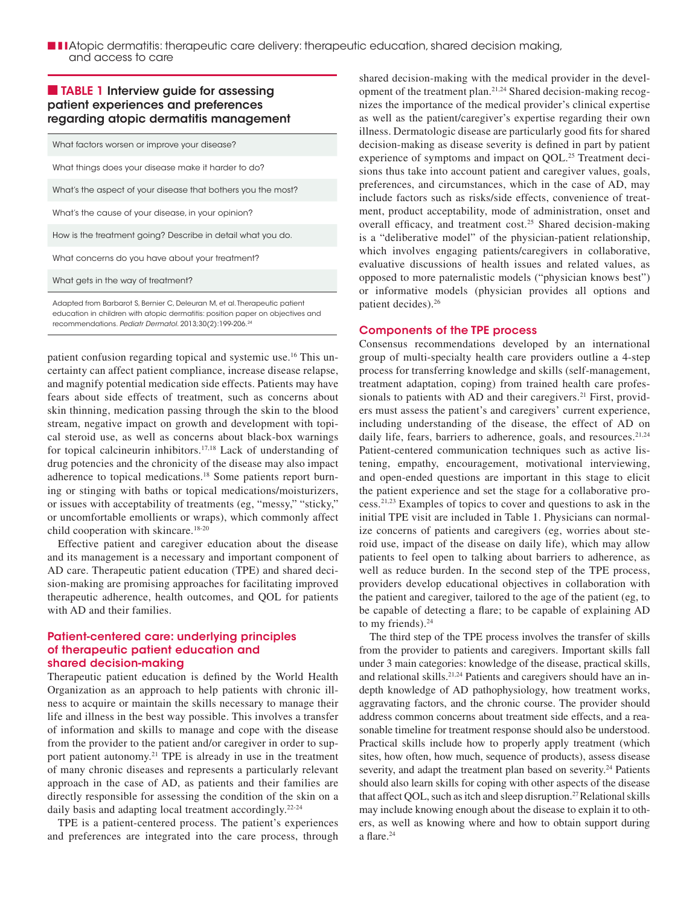■ ■ **I** Atopic dermatitis: therapeutic care delivery: therapeutic education, shared decision making, and access to care

## ■ TABLE 1 Interview guide for assessing patient experiences and preferences regarding atopic dermatitis management

| What factors worsen or improve your disease?                               |
|----------------------------------------------------------------------------|
| What things does your disease make it harder to do?                        |
| What's the aspect of your disease that bothers you the most?               |
| What's the cause of your disease, in your opinion?                         |
| How is the treatment going? Describe in detail what you do.                |
| What concerns do you have about your treatment?                            |
| What gets in the way of treatment?                                         |
| Adapted from Barbarot S. Bernier C. Deleuran M. et al. Therapeutic patient |

Adapted from Barbarot S, Bernier C, Deleuran M, et al. Therapeutic patient education in children with atopic dermatitis: position paper on objectives and recommendations. *Pediatr Dermatol*. 2013;30(2):199-206.24

patient confusion regarding topical and systemic use.16 This uncertainty can affect patient compliance, increase disease relapse, and magnify potential medication side effects. Patients may have fears about side effects of treatment, such as concerns about skin thinning, medication passing through the skin to the blood stream, negative impact on growth and development with topical steroid use, as well as concerns about black-box warnings for topical calcineurin inhibitors.17,18 Lack of understanding of drug potencies and the chronicity of the disease may also impact adherence to topical medications.18 Some patients report burning or stinging with baths or topical medications/moisturizers, or issues with acceptability of treatments (eg, "messy," "sticky," or uncomfortable emollients or wraps), which commonly affect child cooperation with skincare.<sup>18-20</sup>

Effective patient and caregiver education about the disease and its management is a necessary and important component of AD care. Therapeutic patient education (TPE) and shared decision-making are promising approaches for facilitating improved therapeutic adherence, health outcomes, and QOL for patients with AD and their families.

## Patient-centered care: underlying principles of therapeutic patient education and shared decision-making

Therapeutic patient education is defined by the World Health Organization as an approach to help patients with chronic illness to acquire or maintain the skills necessary to manage their life and illness in the best way possible. This involves a transfer of information and skills to manage and cope with the disease from the provider to the patient and/or caregiver in order to support patient autonomy.<sup>21</sup> TPE is already in use in the treatment of many chronic diseases and represents a particularly relevant approach in the case of AD, as patients and their families are directly responsible for assessing the condition of the skin on a daily basis and adapting local treatment accordingly.<sup>22-24</sup>

TPE is a patient-centered process. The patient's experiences and preferences are integrated into the care process, through shared decision-making with the medical provider in the development of the treatment plan.21,24 Shared decision-making recognizes the importance of the medical provider's clinical expertise as well as the patient/caregiver's expertise regarding their own illness. Dermatologic disease are particularly good fits for shared decision-making as disease severity is defined in part by patient experience of symptoms and impact on QOL.<sup>25</sup> Treatment decisions thus take into account patient and caregiver values, goals, preferences, and circumstances, which in the case of AD, may include factors such as risks/side effects, convenience of treatment, product acceptability, mode of administration, onset and overall efficacy, and treatment cost.<sup>25</sup> Shared decision-making is a "deliberative model" of the physician-patient relationship, which involves engaging patients/caregivers in collaborative, evaluative discussions of health issues and related values, as opposed to more paternalistic models ("physician knows best") or informative models (physician provides all options and patient decides).26

#### Components of the TPE process

Consensus recommendations developed by an international group of multi-specialty health care providers outline a 4-step process for transferring knowledge and skills (self-management, treatment adaptation, coping) from trained health care professionals to patients with AD and their caregivers.<sup>21</sup> First, providers must assess the patient's and caregivers' current experience, including understanding of the disease, the effect of AD on daily life, fears, barriers to adherence, goals, and resources.<sup>21,24</sup> Patient-centered communication techniques such as active listening, empathy, encouragement, motivational interviewing, and open-ended questions are important in this stage to elicit the patient experience and set the stage for a collaborative process.21,23 Examples of topics to cover and questions to ask in the initial TPE visit are included in Table 1. Physicians can normalize concerns of patients and caregivers (eg, worries about steroid use, impact of the disease on daily life), which may allow patients to feel open to talking about barriers to adherence, as well as reduce burden. In the second step of the TPE process, providers develop educational objectives in collaboration with the patient and caregiver, tailored to the age of the patient (eg, to be capable of detecting a flare; to be capable of explaining AD to my friends). $24$ 

The third step of the TPE process involves the transfer of skills from the provider to patients and caregivers. Important skills fall under 3 main categories: knowledge of the disease, practical skills, and relational skills.<sup>21,24</sup> Patients and caregivers should have an indepth knowledge of AD pathophysiology, how treatment works, aggravating factors, and the chronic course. The provider should address common concerns about treatment side effects, and a reasonable timeline for treatment response should also be understood. Practical skills include how to properly apply treatment (which sites, how often, how much, sequence of products), assess disease severity, and adapt the treatment plan based on severity.<sup>24</sup> Patients should also learn skills for coping with other aspects of the disease that affect QOL, such as itch and sleep disruption.<sup>27</sup> Relational skills may include knowing enough about the disease to explain it to others, as well as knowing where and how to obtain support during a flare.<sup>24</sup>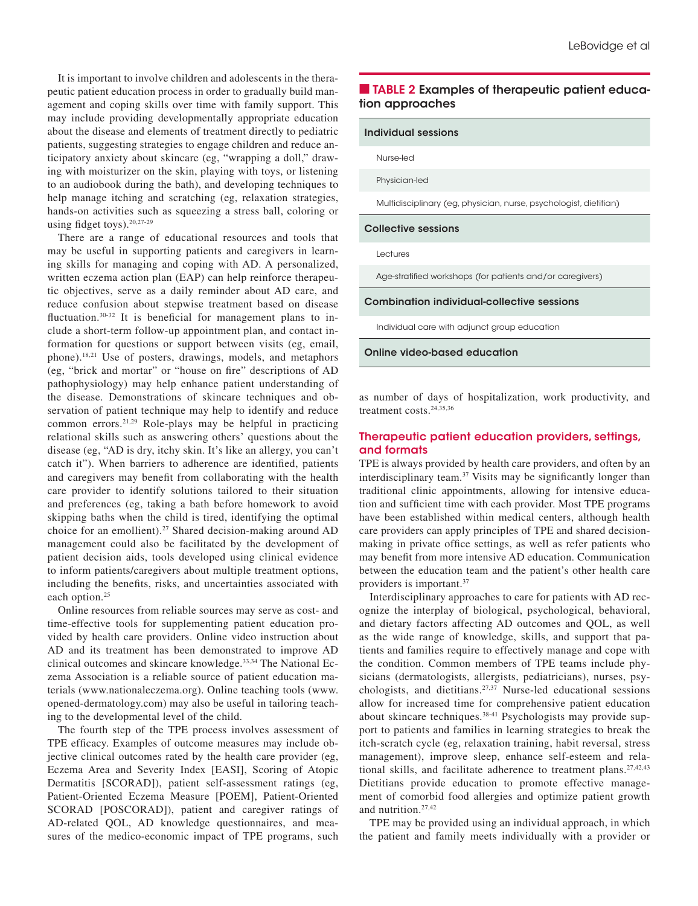It is important to involve children and adolescents in the therapeutic patient education process in order to gradually build management and coping skills over time with family support. This may include providing developmentally appropriate education about the disease and elements of treatment directly to pediatric patients, suggesting strategies to engage children and reduce anticipatory anxiety about skincare (eg, "wrapping a doll," drawing with moisturizer on the skin, playing with toys, or listening to an audiobook during the bath), and developing techniques to help manage itching and scratching (eg, relaxation strategies, hands-on activities such as squeezing a stress ball, coloring or using fidget toys).20,27-29

There are a range of educational resources and tools that may be useful in supporting patients and caregivers in learning skills for managing and coping with AD. A personalized, written eczema action plan (EAP) can help reinforce therapeutic objectives, serve as a daily reminder about AD care, and reduce confusion about stepwise treatment based on disease fluctuation.<sup>30-32</sup> It is beneficial for management plans to include a short-term follow-up appointment plan, and contact information for questions or support between visits (eg, email, phone).18,21 Use of posters, drawings, models, and metaphors (eg, "brick and mortar" or "house on fire" descriptions of AD pathophysiology) may help enhance patient understanding of the disease. Demonstrations of skincare techniques and observation of patient technique may help to identify and reduce common errors.21,29 Role-plays may be helpful in practicing relational skills such as answering others' questions about the disease (eg, "AD is dry, itchy skin. It's like an allergy, you can't catch it"). When barriers to adherence are identified, patients and caregivers may benefit from collaborating with the health care provider to identify solutions tailored to their situation and preferences (eg, taking a bath before homework to avoid skipping baths when the child is tired, identifying the optimal choice for an emollient).<sup>27</sup> Shared decision-making around AD management could also be facilitated by the development of patient decision aids, tools developed using clinical evidence to inform patients/caregivers about multiple treatment options, including the benefits, risks, and uncertainties associated with each option.<sup>25</sup>

Online resources from reliable sources may serve as cost- and time-effective tools for supplementing patient education provided by health care providers. Online video instruction about AD and its treatment has been demonstrated to improve AD clinical outcomes and skincare knowledge.33,34 The National Eczema Association is a reliable source of patient education materials (www.nationaleczema.org). Online teaching tools (www. opened-dermatology.com) may also be useful in tailoring teaching to the developmental level of the child.

The fourth step of the TPE process involves assessment of TPE efficacy. Examples of outcome measures may include objective clinical outcomes rated by the health care provider (eg, Eczema Area and Severity Index [EASI], Scoring of Atopic Dermatitis [SCORAD]), patient self-assessment ratings (eg, Patient-Oriented Eczema Measure [POEM], Patient-Oriented SCORAD [POSCORAD]), patient and caregiver ratings of AD-related QOL, AD knowledge questionnaires, and measures of the medico-economic impact of TPE programs, such

## ■ TABLE 2 Examples of therapeutic patient education approaches

Individual sessions

Nurse-led

Physician-led

Multidisciplinary (eg, physician, nurse, psychologist, dietitian)

#### Collective sessions

Lectures

Age-stratified workshops (for patients and/or caregivers)

#### Combination individual-collective sessions

Individual care with adjunct group education

#### Online video-based education

as number of days of hospitalization, work productivity, and treatment costs.<sup>24,35,36</sup>

## Therapeutic patient education providers, settings, and formats

TPE is always provided by health care providers, and often by an interdisciplinary team.37 Visits may be significantly longer than traditional clinic appointments, allowing for intensive education and sufficient time with each provider. Most TPE programs have been established within medical centers, although health care providers can apply principles of TPE and shared decisionmaking in private office settings, as well as refer patients who may benefit from more intensive AD education. Communication between the education team and the patient's other health care providers is important.37

Interdisciplinary approaches to care for patients with AD recognize the interplay of biological, psychological, behavioral, and dietary factors affecting AD outcomes and QOL, as well as the wide range of knowledge, skills, and support that patients and families require to effectively manage and cope with the condition. Common members of TPE teams include physicians (dermatologists, allergists, pediatricians), nurses, psychologists, and dietitians.27,37 Nurse-led educational sessions allow for increased time for comprehensive patient education about skincare techniques.38-41 Psychologists may provide support to patients and families in learning strategies to break the itch-scratch cycle (eg, relaxation training, habit reversal, stress management), improve sleep, enhance self-esteem and relational skills, and facilitate adherence to treatment plans.<sup>27,42,43</sup> Dietitians provide education to promote effective management of comorbid food allergies and optimize patient growth and nutrition.27,42

TPE may be provided using an individual approach, in which the patient and family meets individually with a provider or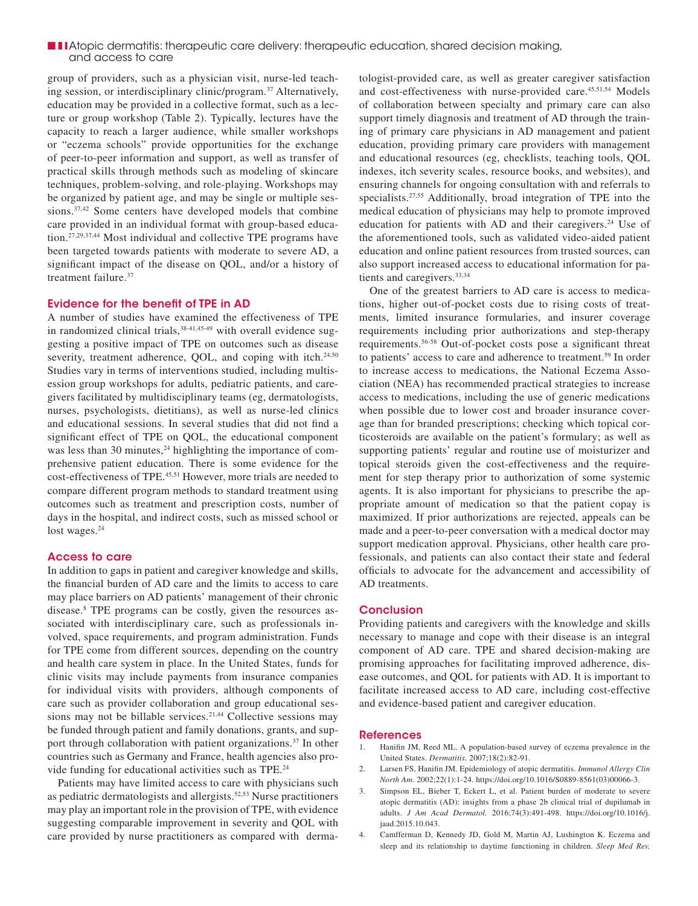## ■ ■ **I** Atopic dermatitis: therapeutic care delivery: therapeutic education, shared decision making, and access to care

group of providers, such as a physician visit, nurse-led teaching session, or interdisciplinary clinic/program.<sup>37</sup> Alternatively, education may be provided in a collective format, such as a lecture or group workshop (Table 2). Typically, lectures have the capacity to reach a larger audience, while smaller workshops or "eczema schools" provide opportunities for the exchange of peer-to-peer information and support, as well as transfer of practical skills through methods such as modeling of skincare techniques, problem-solving, and role-playing. Workshops may be organized by patient age, and may be single or multiple sessions.<sup>37,42</sup> Some centers have developed models that combine care provided in an individual format with group-based education.27,29,37,44 Most individual and collective TPE programs have been targeted towards patients with moderate to severe AD, a significant impact of the disease on QOL, and/or a history of treatment failure.37

## Evidence for the benefit of TPE in AD

A number of studies have examined the effectiveness of TPE in randomized clinical trials,<sup>38-41,45-49</sup> with overall evidence suggesting a positive impact of TPE on outcomes such as disease severity, treatment adherence, QOL, and coping with itch.<sup>24,50</sup> Studies vary in terms of interventions studied, including multisession group workshops for adults, pediatric patients, and caregivers facilitated by multidisciplinary teams (eg, dermatologists, nurses, psychologists, dietitians), as well as nurse-led clinics and educational sessions. In several studies that did not find a significant effect of TPE on QOL, the educational component was less than 30 minutes, $^{24}$  highlighting the importance of comprehensive patient education. There is some evidence for the cost-effectiveness of TPE.45,51 However, more trials are needed to compare different program methods to standard treatment using outcomes such as treatment and prescription costs, number of days in the hospital, and indirect costs, such as missed school or lost wages.<sup>24</sup>

#### Access to care

In addition to gaps in patient and caregiver knowledge and skills, the financial burden of AD care and the limits to access to care may place barriers on AD patients' management of their chronic disease.<sup>8</sup> TPE programs can be costly, given the resources associated with interdisciplinary care, such as professionals involved, space requirements, and program administration. Funds for TPE come from different sources, depending on the country and health care system in place. In the United States, funds for clinic visits may include payments from insurance companies for individual visits with providers, although components of care such as provider collaboration and group educational sessions may not be billable services.<sup>21,44</sup> Collective sessions may be funded through patient and family donations, grants, and support through collaboration with patient organizations.<sup>37</sup> In other countries such as Germany and France, health agencies also provide funding for educational activities such as TPE.24

Patients may have limited access to care with physicians such as pediatric dermatologists and allergists.<sup>52,53</sup> Nurse practitioners may play an important role in the provision of TPE, with evidence suggesting comparable improvement in severity and QOL with care provided by nurse practitioners as compared with dermatologist-provided care, as well as greater caregiver satisfaction and cost-effectiveness with nurse-provided care.<sup>45,51,54</sup> Models of collaboration between specialty and primary care can also support timely diagnosis and treatment of AD through the training of primary care physicians in AD management and patient education, providing primary care providers with management and educational resources (eg, checklists, teaching tools, QOL indexes, itch severity scales, resource books, and websites), and ensuring channels for ongoing consultation with and referrals to specialists.<sup>27,55</sup> Additionally, broad integration of TPE into the medical education of physicians may help to promote improved education for patients with AD and their caregivers.<sup>24</sup> Use of the aforementioned tools, such as validated video-aided patient education and online patient resources from trusted sources, can also support increased access to educational information for patients and caregivers.33,34

One of the greatest barriers to AD care is access to medications, higher out-of-pocket costs due to rising costs of treatments, limited insurance formularies, and insurer coverage requirements including prior authorizations and step-therapy requirements.56-58 Out-of-pocket costs pose a significant threat to patients' access to care and adherence to treatment.<sup>59</sup> In order to increase access to medications, the National Eczema Association (NEA) has recommended practical strategies to increase access to medications, including the use of generic medications when possible due to lower cost and broader insurance coverage than for branded prescriptions; checking which topical corticosteroids are available on the patient's formulary; as well as supporting patients' regular and routine use of moisturizer and topical steroids given the cost-effectiveness and the requirement for step therapy prior to authorization of some systemic agents. It is also important for physicians to prescribe the appropriate amount of medication so that the patient copay is maximized. If prior authorizations are rejected, appeals can be made and a peer-to-peer conversation with a medical doctor may support medication approval. Physicians, other health care professionals, and patients can also contact their state and federal officials to advocate for the advancement and accessibility of AD treatments.

#### **Conclusion**

Providing patients and caregivers with the knowledge and skills necessary to manage and cope with their disease is an integral component of AD care. TPE and shared decision-making are promising approaches for facilitating improved adherence, disease outcomes, and QOL for patients with AD. It is important to facilitate increased access to AD care, including cost-effective and evidence-based patient and caregiver education.

#### **References**

- 1. Hanifin JM, Reed ML. A population-based survey of eczema prevalence in the United States. *Dermatitis.* 2007;18(2):82-91.
- 2. Larsen FS, Hanifin JM. Epidemiology of atopic dermatitis. *Immunol Allergy Clin North Am*. 2002;22(1):1-24. https://doi.org/10.1016/S0889-8561(03)00066-3.
- 3. Simpson EL, Bieber T, Eckert L, et al. Patient burden of moderate to severe atopic dermatitis (AD): insights from a phase 2b clinical trial of dupilumab in adults. *J Am Acad Dermatol.* 2016;74(3):491-498. https://doi.org/10.1016/j. jaad.2015.10.043.
- 4. Camfferman D, Kennedy JD, Gold M, Martin AJ, Lushington K. Eczema and sleep and its relationship to daytime functioning in children. *Sleep Med Rev.*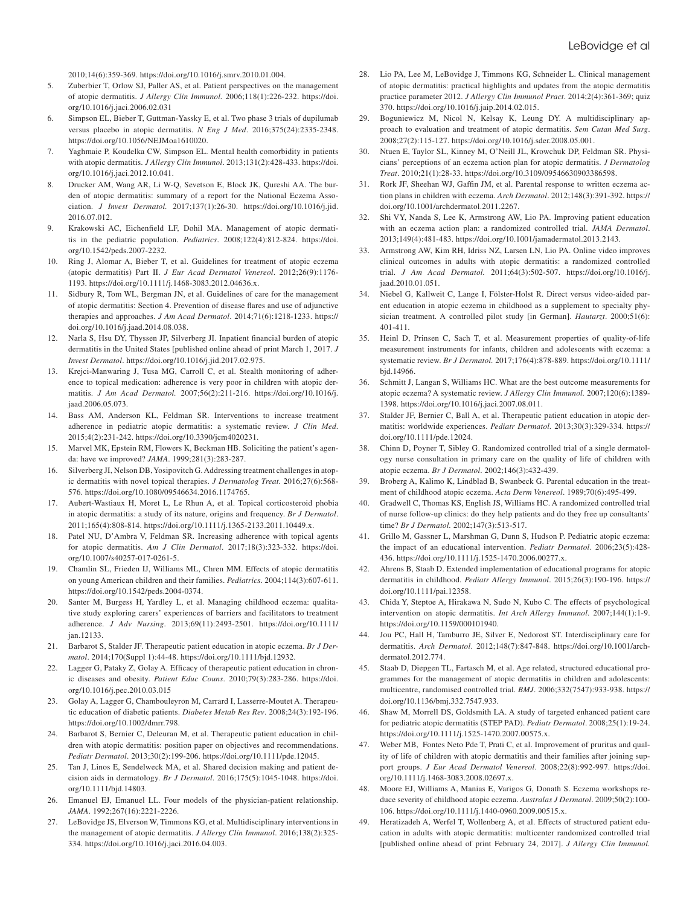2010;14(6):359-369. https://doi.org/10.1016/j.smrv.2010.01.004.

- 5. Zuberbier T, Orlow SJ, Paller AS, et al. Patient perspectives on the management of atopic dermatitis. *J Allergy Clin Immunol.* 2006;118(1):226-232. https://doi. org/10.1016/j.jaci.2006.02.031
- 6. Simpson EL, Bieber T, Guttman-Yassky E, et al. Two phase 3 trials of dupilumab versus placebo in atopic dermatitis. *N Eng J Med*. 2016;375(24):2335-2348. https://doi.org/10.1056/NEJMoa1610020.
- 7. Yaghmaie P, Koudelka CW, Simpson EL. Mental health comorbidity in patients with atopic dermatitis. *J Allergy Clin Immunol*. 2013;131(2):428-433. https://doi. org/10.1016/j.jaci.2012.10.041.
- 8. Drucker AM, Wang AR, Li W-Q, Sevetson E, Block JK, Qureshi AA. The burden of atopic dermatitis: summary of a report for the National Eczema Association. *J Invest Dermatol.* 2017;137(1):26-30. https://doi.org/10.1016/j.jid. 2016.07.012.
- 9. Krakowski AC, Eichenfield LF, Dohil MA. Management of atopic dermatitis in the pediatric population. *Pediatrics*. 2008;122(4):812-824. https://doi. org/10.1542/peds.2007-2232.
- 10. Ring J, Alomar A, Bieber T, et al. Guidelines for treatment of atopic eczema (atopic dermatitis) Part II. *J Eur Acad Dermatol Venereol*. 2012;26(9):1176- 1193. https://doi.org/10.1111/j.1468-3083.2012.04636.x.
- 11. Sidbury R, Tom WL, Bergman JN, et al. Guidelines of care for the management of atopic dermatitis: Section 4. Prevention of disease flares and use of adjunctive therapies and approaches. *J Am Acad Dermatol*. 2014;71(6):1218-1233. https:// doi.org/10.1016/j.jaad.2014.08.038.
- 12. Narla S, Hsu DY, Thyssen JP, Silverberg JI. Inpatient financial burden of atopic dermatitis in the United States [published online ahead of print March 1, 2017. *J Invest Dermatol*. https://doi.org/10.1016/j.jid.2017.02.975.
- 13. Krejci-Manwaring J, Tusa MG, Carroll C, et al. Stealth monitoring of adherence to topical medication: adherence is very poor in children with atopic dermatitis. *J Am Acad Dermatol.* 2007;56(2):211-216. https://doi.org/10.1016/j. jaad.2006.05.073.
- 14. Bass AM, Anderson KL, Feldman SR. Interventions to increase treatment adherence in pediatric atopic dermatitis: a systematic review. *J Clin Med*. 2015;4(2):231-242. https://doi.org/10.3390/jcm4020231.
- 15. Marvel MK, Epstein RM, Flowers K, Beckman HB. Soliciting the patient's agenda: have we improved? *JAMA*. 1999;281(3):283-287.
- 16. Silverberg JI, Nelson DB, Yosipovitch G. Addressing treatment challenges in atopic dermatitis with novel topical therapies. *J Dermatolog Treat*. 2016;27(6):568- 576. https://doi.org/10.1080/09546634.2016.1174765.
- 17. Aubert-Wastiaux H, Moret L, Le Rhun A, et al. Topical corticosteroid phobia in atopic dermatitis: a study of its nature, origins and frequency. *Br J Dermatol*. 2011;165(4):808-814. https://doi.org/10.1111/j.1365-2133.2011.10449.x.
- 18. Patel NU, D'Ambra V, Feldman SR. Increasing adherence with topical agents for atopic dermatitis. *Am J Clin Dermatol*. 2017;18(3):323-332. https://doi. org/10.1007/s40257-017-0261-5.
- 19. Chamlin SL, Frieden IJ, Williams ML, Chren MM. Effects of atopic dermatitis on young American children and their families. *Pediatrics*. 2004;114(3):607-611. https://doi.org/10.1542/peds.2004-0374.
- 20. Santer M, Burgess H, Yardley L, et al. Managing childhood eczema: qualitative study exploring carers' experiences of barriers and facilitators to treatment adherence. *J Adv Nursing*. 2013;69(11):2493-2501. https://doi.org/10.1111/ jan.12133.
- 21. Barbarot S, Stalder JF. Therapeutic patient education in atopic eczema. *Br J Dermatol*. 2014;170(Suppl 1):44-48. https://doi.org/10.1111/bjd.12932.
- 22. Lagger G, Pataky Z, Golay A. Efficacy of therapeutic patient education in chronic diseases and obesity. *Patient Educ Couns*. 2010;79(3):283-286. https://doi. org/10.1016/j.pec.2010.03.015
- 23. Golay A, Lagger G, Chambouleyron M, Carrard I, Lasserre-Moutet A. Therapeutic education of diabetic patients. *Diabetes Metab Res Rev*. 2008;24(3):192-196. https://doi.org/10.1002/dmrr.798.
- 24. Barbarot S, Bernier C, Deleuran M, et al. Therapeutic patient education in children with atopic dermatitis: position paper on objectives and recommendations. *Pediatr Dermatol*. 2013;30(2):199-206. https://doi.org/10.1111/pde.12045.
- 25. Tan J, Linos E, Sendelweck MA, et al. Shared decision making and patient decision aids in dermatology. *Br J Dermatol*. 2016;175(5):1045-1048. https://doi. org/10.1111/bjd.14803.
- Emanuel EJ, Emanuel LL. Four models of the physician-patient relationship. *JAMA*. 1992;267(16):2221-2226.
- 27. LeBovidge JS, Elverson W, Timmons KG, et al. Multidisciplinary interventions in the management of atopic dermatitis. *J Allergy Clin Immunol*. 2016;138(2):325- 334. https://doi.org/10.1016/j.jaci.2016.04.003.
- 28. Lio PA, Lee M, LeBovidge J, Timmons KG, Schneider L. Clinical management of atopic dermatitis: practical highlights and updates from the atopic dermatitis practice parameter 2012. *J Allergy Clin Immunol Pract*. 2014;2(4):361-369; quiz 370. https://doi.org/10.1016/j.jaip.2014.02.015.
- 29. Boguniewicz M, Nicol N, Kelsay K, Leung DY. A multidisciplinary approach to evaluation and treatment of atopic dermatitis. *Sem Cutan Med Surg*. 2008;27(2):115-127. https://doi.org/10.1016/j.sder.2008.05.001.
- 30. Ntuen E, Taylor SL, Kinney M, O'Neill JL, Krowchuk DP, Feldman SR. Physicians' perceptions of an eczema action plan for atopic dermatitis. *J Dermatolog Treat*. 2010;21(1):28-33. https://doi.org/10.3109/09546630903386598.
- 31. Rork JF, Sheehan WJ, Gaffin JM, et al. Parental response to written eczema action plans in children with eczema. *Arch Dermatol*. 2012;148(3):391-392. https:// doi.org/10.1001/archdermatol.2011.2267.
- 32. Shi VY, Nanda S, Lee K, Armstrong AW, Lio PA. Improving patient education with an eczema action plan: a randomized controlled trial. *JAMA Dermatol*. 2013;149(4):481-483. https://doi.org/10.1001/jamadermatol.2013.2143.
- 33. Armstrong AW, Kim RH, Idriss NZ, Larsen LN, Lio PA. Online video improves clinical outcomes in adults with atopic dermatitis: a randomized controlled trial. *J Am Acad Dermatol.* 2011;64(3):502-507. https://doi.org/10.1016/j. jaad.2010.01.051.
- 34. Niebel G, Kallweit C, Lange I, Fölster-Holst R. Direct versus video-aided parent education in atopic eczema in childhood as a supplement to specialty physician treatment. A controlled pilot study [in German]. *Hautarzt*. 2000;51(6): 401-411.
- 35. Heinl D, Prinsen C, Sach T, et al. Measurement properties of quality-of-life measurement instruments for infants, children and adolescents with eczema: a systematic review. *Br J Dermatol.* 2017;176(4):878-889. https://doi.org/10.1111/ bjd.14966.
- 36. Schmitt J, Langan S, Williams HC. What are the best outcome measurements for atopic eczema? A systematic review. *J Allergy Clin Immunol.* 2007;120(6):1389- 1398. https://doi.org/10.1016/j.jaci.2007.08.011.
- 37. Stalder JF, Bernier C, Ball A, et al. Therapeutic patient education in atopic dermatitis: worldwide experiences. *Pediatr Dermatol.* 2013;30(3):329-334. https:// doi.org/10.1111/pde.12024.
- 38. Chinn D, Poyner T, Sibley G. Randomized controlled trial of a single dermatology nurse consultation in primary care on the quality of life of children with atopic eczema. *Br J Dermatol*. 2002;146(3):432-439.
- 39. Broberg A, Kalimo K, Lindblad B, Swanbeck G. Parental education in the treatment of childhood atopic eczema. *Acta Derm Venereol*. 1989;70(6):495-499.
- 40. Gradwell C, Thomas KS, English JS, Williams HC. A randomized controlled trial of nurse follow-up clinics: do they help patients and do they free up consultants' time? *Br J Dermatol.* 2002;147(3):513-517.
- 41. Grillo M, Gassner L, Marshman G, Dunn S, Hudson P. Pediatric atopic eczema: the impact of an educational intervention. *Pediatr Dermatol*. 2006;23(5):428- 436. https://doi.org/10.1111/j.1525-1470.2006.00277.x.
- 42. Ahrens B, Staab D. Extended implementation of educational programs for atopic dermatitis in childhood. *Pediatr Allergy Immunol*. 2015;26(3):190-196. https:// doi.org/10.1111/pai.12358.
- 43. Chida Y, Steptoe A, Hirakawa N, Sudo N, Kubo C. The effects of psychological intervention on atopic dermatitis. *Int Arch Allergy Immunol*. 2007;144(1):1-9. https://doi.org/10.1159/000101940.
- 44. Jou PC, Hall H, Tamburro JE, Silver E, Nedorost ST. Interdisciplinary care for dermatitis. *Arch Dermatol*. 2012;148(7):847-848. https://doi.org/10.1001/archdermatol.2012.774.
- 45. Staab D, Diepgen TL, Fartasch M, et al. Age related, structured educational programmes for the management of atopic dermatitis in children and adolescents: multicentre, randomised controlled trial. *BMJ*. 2006;332(7547):933-938. https:// doi.org/10.1136/bmj.332.7547.933.
- 46. Shaw M, Morrell DS, Goldsmith LA. A study of targeted enhanced patient care for pediatric atopic dermatitis (STEP PAD). *Pediatr Dermatol*. 2008;25(1):19-24. https://doi.org/10.1111/j.1525-1470.2007.00575.x.
- 47. Weber MB, Fontes Neto Pde T, Prati C, et al. Improvement of pruritus and quality of life of children with atopic dermatitis and their families after joining support groups. *J Eur Acad Dermatol Venereol*. 2008;22(8):992-997. https://doi. org/10.1111/j.1468-3083.2008.02697.x.
- 48. Moore EJ, Williams A, Manias E, Varigos G, Donath S. Eczema workshops reduce severity of childhood atopic eczema. *Australas J Dermatol*. 2009;50(2):100- 106. https://doi.org/10.1111/j.1440-0960.2009.00515.x.
- 49. Heratizadeh A, Werfel T, Wollenberg A, et al. Effects of structured patient education in adults with atopic dermatitis: multicenter randomized controlled trial [published online ahead of print February 24, 2017]. *J Allergy Clin Immunol.*